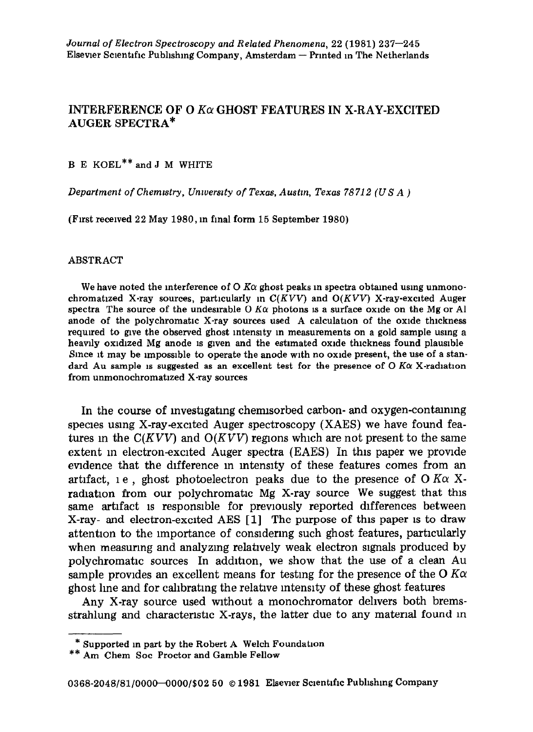## INTERFERENCE OF O  $K\alpha$  GHOST FEATURES IN X-RAY-EXCITED AUGER SPECTRA\*

**B E KOEL"" and J M WHITE** 

*Department of Chemrstry, Unwerszty of Texas, Austrn, Texas 78712 (US A )* 

**(First received 22 May 1980, in final** form 15 September 1980)

## **ABSTRACT**

We have noted the interference of  $O$   $K\alpha$  ghost peaks in spectra obtained using unmono**chromatlzed X-ray sources, particularly m** *C(KVV)* **and** *O(KVV)* **X-ray-excited Auger**  spectra The source of the undesirable  $\overline{0}$  *K* $\alpha$  photons is a surface oxide on the Mg or Al anode of the polychromatic X-ray sources used A calculation of the oxide thickness **required to give the observed ghost mtenslty m measurements on a gold sample using a heavily oxidized Mg anode 1s given and the estimated oxide thickness found plausible**  Since it may be impossible to operate the anode with no oxide present, the use of a standard Au sample is suggested as an excellent test for the presence of  $O$  K $\alpha$  X-radiation **from unmonochromatlzed X-ray sources** 

In the course of mvestlgatmg chemlsorbed carbon- and oxygen-contaming species using X-ray-excited Auger spectroscopy (XAES) we have found features in the  $C(KVV)$  and  $O(KVV)$  regions which are not present to the same extent m electron-excited Auger spectra (EAES) In this paper we provide evidence that the difference m mtenslty of these features comes from an artifact, 1 e, ghost photoelectron peaks due to the presence of O K $\alpha$  Xradiation from our polychromatic Mg X-ray source We suggest that this same artifact 1s responsible for previously reported differences between X-ray- and electron-excited AES [l] The purpose of this paper 1s to draw attention to the importance of consldermg such ghost features, particularly when measuring and analyzmg relatively weak electron signals produced by polychromatlc sources In addition, we show that the use of a clean Au sample provides an excellent means for testing for the presence of the O  $K\alpha$ ghost lme and for calibrating the relative mtenslty of these ghost features

Any X-ray source used without a monochromator delivers both bremsstrahlung and characteristic X-rays, the latter due to any material found in

**<sup>\*</sup> Supported m part by the Robert A Welch Foundation** 

**<sup>\*\*</sup> Am Chem Sot Proctor and Gamble Fellow**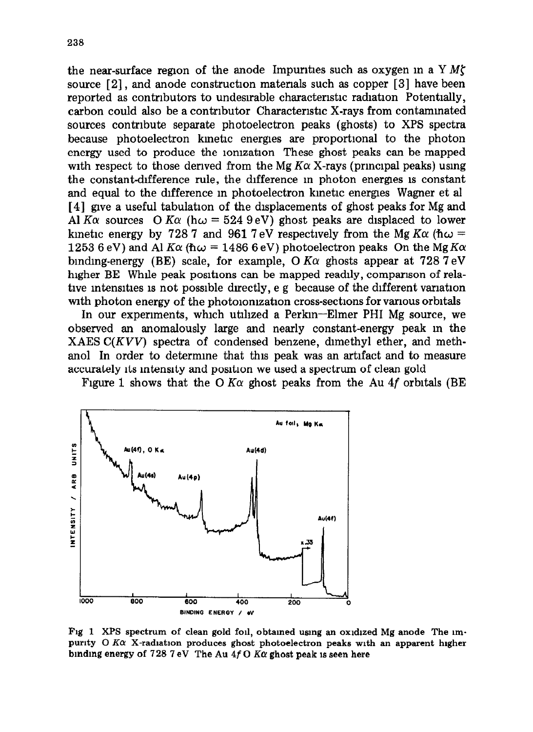the near-surface region of the anode Impurities such as oxygen in a Y  $M\zeta$ source  $[2]$ , and anode construction materials such as copper  $[3]$  have been reported as contributors to undesirable characteristic radiation Potentially, carbon could also be a contributor Characteristic X-rays from contaminated sources contribute separate photoelectron peaks (ghosts) to XPS spectra because photoelectron kmetlc energies are proportional to the photon energy used to produce the lomzatlon These ghost peaks can be mapped with respect to those derived from the Mg  $K\alpha$  X-rays (principal peaks) using the constant-difference rule, the difference m photon energres 1s constant and equal to the difference m photoelectron kinetic energes Wagner et al [4] gve a useful tabulation of the displacements of ghost peaks for Mg and Al K $\alpha$  sources O K $\alpha$  (h $\omega$  = 524 9 eV) ghost peaks are displaced to lower kinetic energy by 728.7 and 961.7 eV respectively from the Mg  $K\alpha$  ( $\hbar\omega$  = 1253 6 eV) and Al  $K\alpha$  ( $\hbar \omega$  = 1486 6 eV) photoelectron peaks On the Mg  $K\alpha$ binding-energy (BE) scale, for example,  $\overline{O}$  K $\alpha$  ghosts appear at 728 7 eV higher BE While peak positions can be mapped readily, comparison of relative intensities is not possible directly, e g because of the different variation with photon energy of the photoionization cross-sections for various orbitals

In our experiments, which utlhzed a Perkm-Elmer PHI Mg source, we observed an anomalously large and nearly constant-energy peak m the XAES *C(KVV)* spectra of condensed benzene, dimethyl ether, and methanol In order to determine that this peak was an artifact and to measure accurately its intensity and position we used a spectrum of clean gold

Figure 1 shows that the O K $\alpha$  ghost peaks from the Au 4f orbitals (BE



Fig 1 XPS spectrum of clean gold foil, obtained using an oxidized Mg anode The impurity  $O K\alpha$  X-radiation produces ghost photoelectron peaks with an apparent higher binding energy of  $728.7$  eV The Au  $4f$  O  $K\alpha$  ghost peak is seen here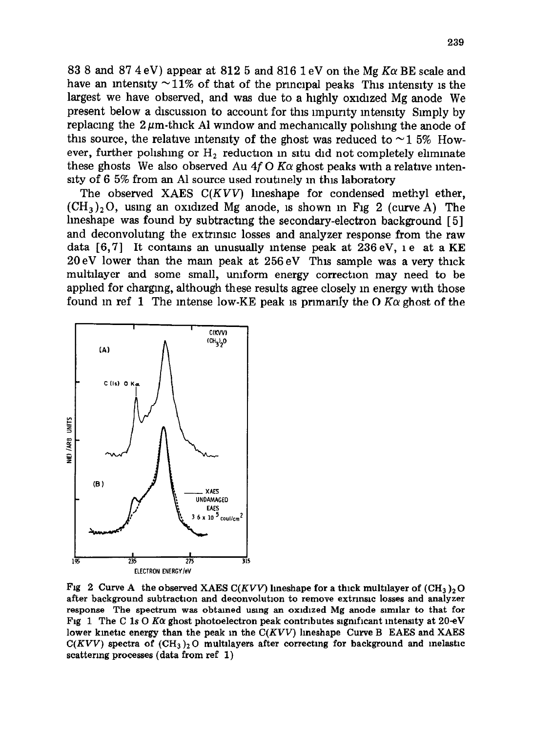83 8 and 87 4 eV) appear at 812 5 and 816 1 eV on the Mg  $K\alpha$  BE scale and have an intensity  $\sim$  11% of that of the principal peaks This intensity is the largest we have observed, and was due to a highly oxidized Mg anode We present below a dlscusslon to account for this lmpunty mtenslty Simply by replacing the  $2 \mu m$ -thick Al window and mechanically polishing the anode of this source, the relative intensity of the ghost was reduced to  $\sim$  1.5% However, further polishing or  $H_2$  reduction in situ did not completely eliminate these ghosts We also observed Au 4f O K $\alpha$  ghost peaks with a relative intensity of 6 5% from an Al source used routinely in this laboratory

The observed XAES *C(KVV)* lmeshape for condensed methyl ether,  $(CH_3)$ , O, using an oxidized Mg anode, is shown in Fig 2 (curve A) The lmeshape was found by subtracting the secondary-electron background [5] and deconvolutmg the extrmslc losses and analyzer response from the raw data  $[6,7]$  It contains an unusually intense peak at 236 eV, i.e. at a KE 20eV lower than the mam peak at 256 eV This sample was a very thick multilayer and some small, uniform energy correction may need to be apphed for charging, although these results agree closely m energy with those found in ref 1 The intense low-KE peak is primarily the O  $K\alpha$  ghost of the



**Fig 2 Curve A the observed XAES C(KVV) lineshape for a thick multilayer of**  $(CH_3)_2O$ after background subtraction and deconvolution to remove extrinsic losses and analyzer response The spectrum was obtained using an oxidized Mg anode similar to that for Fig 1 The C 1s O K $\alpha$  ghost photoelectron peak contributes significant intensity at 20 eV **lower kmetlc energy than the peak m the** *C(KVV)* **lmeshape Curve B EAES and XAES**   $C(KVV)$  spectra of  $(CH_3)_2$ O multilayers after correcting for background and inelastic **scattering processes (data from ref 1)**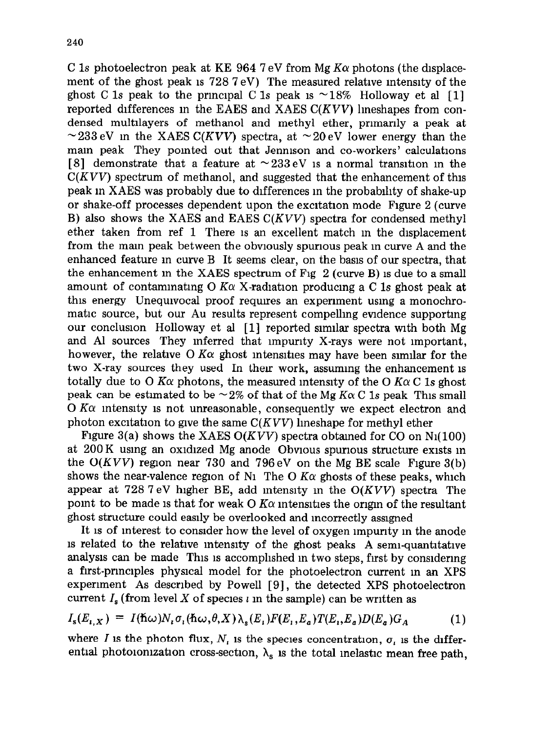C 1s photoelectron peak at KE 964 7 eV from Mg  $K\alpha$  photons (the displacement of the ghost peak 1s 728 7 eV) The measured relative intensity of the ghost C 1s peak to the principal C 1s peak is  $\sim$  18% Holloway et al [1] reported differences m the EAES and XAES *C(KVV)* lmeshapes from condensed multllayers of methanol and methyl ether, primarily a peak at  $\sim$ 233 eV in the XAES *C(KVV)* spectra, at  $\sim$  20 eV lower energy than the mam peak They pointed out that Jennlson and co-workers' calculations [8] demonstrate that a feature at  $\sim 233 \text{ eV}$  is a normal transition in the *C(KVV)* spectrum of methanol, and suggested that the enhancement of this peak m XAES was probably due to differences m the probablhty of shake-up or shake-off processes dependent upon the excltatlon mode Figure 2 (curve B) also shows the XAES and EAES *C(KVV)* spectra for condensed methyl ether taken from ref 1 There IS an excellent match m the displacement from the mam peak between the obviously spurious peak m curve A and the enhanced feature m curve B It seems clear, on the basis of our spectra, that the enhancement in the XAES spectrum of Fig  $2$  (curve B) is due to a small amount of contaminating  $O$  K $\alpha$  X-radiation producing a C 1s ghost peak at this energy Unequivocal proof requires an expenment using a monochromatic source, but our Au results represent compelling evidence supportmg our conclusion Holloway et al [1] reported slmllar spectra with both Mg and Al sources They inferred that impurity X-rays were not important, however, the relative O  $K\alpha$  ghost intensities may have been similar for the two X-ray sources they used In their work, assuming the enhancement is totally due to O K $\alpha$  photons, the measured intensity of the O K $\alpha$ C 1s ghost peak can be estimated to be  $\sim$  2% of that of the Mg K $\alpha$  C 1s peak This small  $0$  K $\alpha$  intensity is not unreasonable, consequently we expect electron and photon excltatlon to give the same *C(KVV)* hneshape for methyl ether

Figure  $3(a)$  shows the XAES  $O(KVV)$  spectra obtained for CO on N<sub>1</sub>(100) at 200 K using an oxidized Mg anode Obvious spurious structure exists m the  $O(KVV)$  region near 730 and 796 eV on the Mg BE scale Figure 3(b) shows the near-valence region of N<sub>1</sub> The O K $\alpha$  ghosts of these peaks, which appear at 728 7 eV higher BE, add mtenslty m the *O(KVV)* spectra The point to be made is that for weak O  $K\alpha$  intensities the origin of the resultant ghost structure could easily be overlooked and mcorrectly assigned

It 1s of interest to consider how the level of oxygen lmpunty m the anode 1s related to the relative mtenslty of the ghost peaks A semi-quantitative analysis can be made This is accomplished in two steps, first by considering a first-prmclples physical model for the photoelectron current m an XPS experiment As described by Powell [9], the detected XPS photoelectron current  $I_s$  (from level X of species i in the sample) can be written as

$$
I_{\rm s}(E_{\iota,X}) = I(\hbar\omega)N_{\iota}\sigma_{\iota}(\hbar\omega,\theta,X)\lambda_{\rm s}(E_{\iota})F(E_{\iota},E_a)T(E_{\iota},E_a)D(E_a)G_A \tag{1}
$$

where I is the photon flux,  $N_i$  is the species concentration,  $\sigma_i$  is the differential photoionization cross-section,  $\lambda_s$  is the total inelastic mean free path,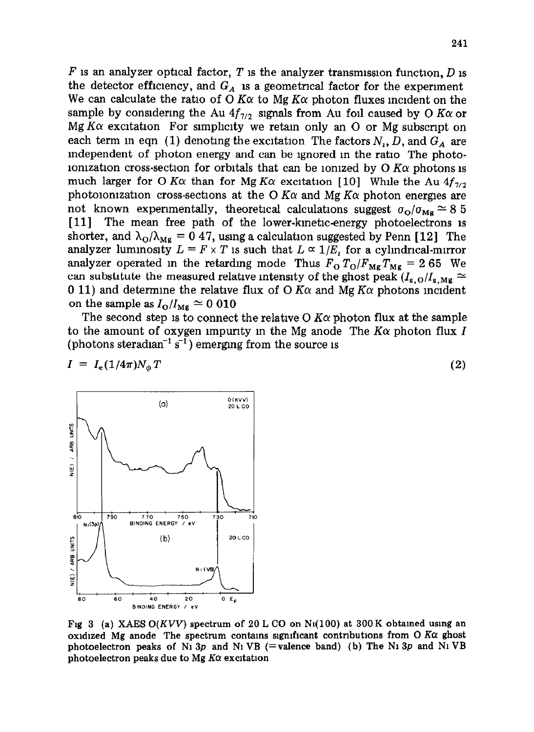$F$  is an analyzer optical factor,  $T$  is the analyzer transmission function,  $D$  is the detector efficiency, and  $G_A$  is a geometrical factor for the experiment We can calculate the ratio of O  $K\alpha$  to Mg  $K\alpha$  photon fluxes incident on the sample by considering the Au  $4f_{7/2}$  signals from Au foil caused by O K $\alpha$  or Mg  $K\alpha$  excitation For simplicity we retain only an O or Mg subscript on each term in eqn (1) denoting the excitation The factors  $N_1$ , D, and  $G_A$  are independent of photon energy and can be ignored m the ratro The photoionization cross-section for orbitals that can be ionized by  $O$   $K\alpha$  photons is much larger for O K $\alpha$  than for Mg K $\alpha$  excitation [10] While the Au  $4f_{7/2}$ photoionization cross-sections at the O  $K\alpha$  and Mg  $K\alpha$  photon energies are not known experimentally, theoretical calculations suggest  $\sigma_{\Omega}/\sigma_{\text{Me}} \approx 8.5$ [11] The mean free path of the lower-kinetic-energy photoelectrons is shorter, and  $\lambda_0/\lambda_{\rm Mg} = 0.47$ , using a calculation suggested by Penn [12] The analyzer luminosity  $L = F \times T$  is such that  $L \propto 1/E$ , for a cylindrical-mirror analyzer operated in the retarding mode Thus  $F_0 T_0/F_{mg} T_{mg} = 265$  We can substitute the measured relative intensity of the ghost peak  $(I_{s.0}/I_{s.Mg} \approx$ 0 11) and determine the relative flux of O K $\alpha$  and Mg K $\alpha$  photons incident on the sample as  $I_{\rm O}/I_{\rm Mg} \simeq 0.010$ 

The second step is to connect the relative O  $K\alpha$  photon flux at the sample to the amount of oxygen impurity in the Mg anode The  $K\alpha$  photon flux I (photons steradian<sup>-1</sup> s<sup>-1</sup>) emerging from the source is

$$
I = Ie(1/4\pi)N_{\phi}T
$$
 (2)



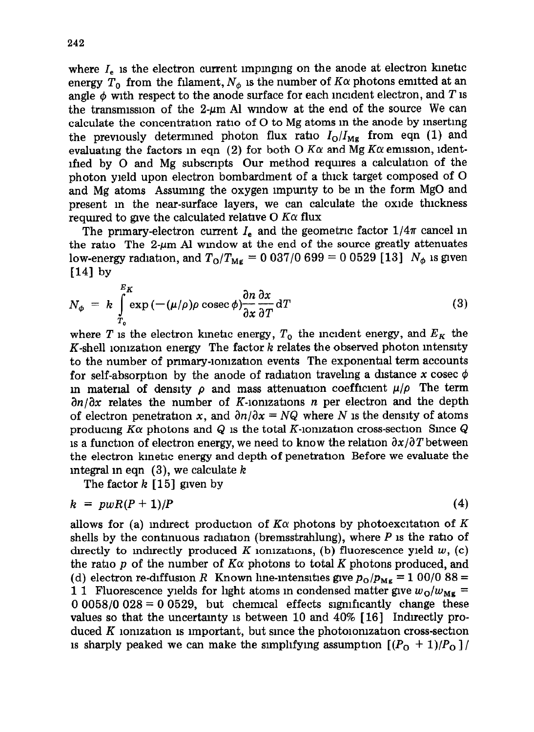where  $I<sub>e</sub>$  is the electron current impinging on the anode at electron kinetic energy  $T_0$  from the filament,  $N_{\phi}$  is the number of  $K\alpha$  photons emitted at an angle  $\phi$  with respect to the anode surface for each incident electron, and  $T$  is the transmission of the 2- $\mu$ m Al window at the end of the source We can calculate the concentration ratlo of 0 to Mg atoms m the anode by msertmg the previously determined photon flux ratio  $I_0/I_{\text{Mg}}$  from eqn (1) and evaluating the factors in eqn (2) for both  $\overline{O}$  *K* $\alpha$  and *Mg K* $\alpha$  emission, identifled by 0 and Mg subscripts Our method requires a calculation of the photon yield upon electron bombardment of a thick target composed of 0 and Mg atoms Assuming the oxygen lmpurlty to be m the form MgO and present m the near-surface layers, we can calculate the oxide thickness required to give the calculated relative  $O$   $K\alpha$  flux

The primary-electron current  $I_e$  and the geometric factor  $1/4\pi$  cancel in the ratio The  $2-\mu m$  Al window at the end of the source greatly attenuates low-energy radiation, and  $T_{\rm O}/T_{\rm Mg} = 0.037/0.699 = 0.0529$  [13]  $N_{\phi}$  is given **[I41 by** 

$$
N_{\phi} = k \int_{T_0}^{E_K} \exp\left(-\left(\mu/\rho\right) \rho \operatorname{cosec} \phi\right) \frac{\partial n}{\partial x} \frac{\partial x}{\partial T} dT \tag{3}
$$

where *T* is the electron kinetic energy,  $T_0$  the incident energy, and  $E_K$  the K-shell lonlzatlon energy The factor *k* relates the observed photon intensity to the number of pnmary-lomzatlon events The exponential term accounts for self-absorption by the anode of radiation traveling a distance x cosec  $\phi$ in material of density  $\rho$  and mass attenuation coefficient  $\mu/\rho$ . The term *an/ax* relates the number of K-lomzatlons *n* per electron and the depth of electron penetration x, and  $\partial n/\partial x = NQ$  where N is the density of atoms producing  $K\alpha$  photons and Q is the total K-ionization cross-section Since Q 1s a function of electron energy, we need to know the relation  $\partial x/\partial T$  between the electron kinetic energy and depth of penetration Before we evaluate the integral m eqn (3), we calculate *k* 

The factor *k* [15] given by

$$
k = p w R (P + 1) / P \tag{4}
$$

allows for (a) indirect production of  $K\alpha$  photons by photoexcitation of  $K$ shells by the contmuous radiation (bremsstrahlung), where *P 1s* the ratio of directly to indirectly produced *K* ionizations, (b) fluorescence yield  $w$ , (c) the ratio p of the number of  $K\alpha$  photons to total K photons produced, and (d) electron re-diffusion *R* Known line-intensities give  $p_0/p_{Mg} = 100/088 =$ 1 1 Fluorescence yields for light atoms in condensed matter give  $w_0/w_{\text{Mg}} =$  $0.0058/0.028 = 0.0529$ , but chemical effects significantly change these values so that the uncertamty 1s between 10 and 40% [ 161 Indirectly produced *K* lomzatlon 1s Important, but since the photolomzatlon cross-section 1s sharply peaked we can make the simplifying assumption  $[(P_0 + 1)/P_0]$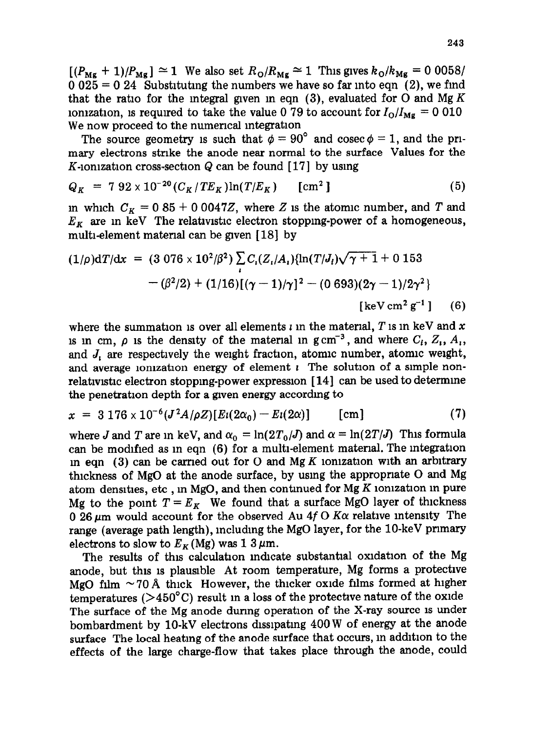$[(P_{\text{Mg}} + 1)/P_{\text{Mg}}] \simeq 1$  We also set  $R_{\text{O}}/R_{\text{Mg}} \simeq 1$  This gives  $k_{\text{O}}/k_{\text{Mg}} = 0$  0058/  $0.025 = 0.24$  Substituting the numbers we have so far into eqn (2), we find that the ratio for the integral given in eqn (3), evaluated for O and Mg K ionization, is required to take the value 0 79 to account for  $I_{\rm O}/I_{\rm Mg} = 0.010$ We now proceed to the numerical integration

The source geometry is such that  $\phi = 90^{\circ}$  and cosec  $\phi = 1$ , and the primary electrons stnke the anode near normal to the surface Values for the K-ionization cross-section Q can be found  $[17]$  by using

$$
Q_K = 7.92 \times 10^{-20} (C_K / TE_K) \ln(T/E_K) \quad \text{[cm}^2\text{]}
$$
 (5)

in which  $C_K = 0.85 + 0.0047Z$ , where Z is the atomic number, and T and  $E_K$  are in keV The relativistic electron stopping-power of a homogeneous, multi-element material can be given [18] by

$$
(1/\rho)dT/dx = (3.076 \times 10^2/\beta^2) \sum_{i} C_i (Z_i/A_i) \{ \ln(T/J_i) \sqrt{\gamma + 1} + 0.153
$$

$$
-(\beta^2/2) + (1/16) [(\gamma - 1)/\gamma]^2 - (0.693)(2\gamma - 1)/2\gamma^2 \}
$$

$$
[\text{keV cm}^2 \text{ g}^{-1}] \qquad (6)
$$

where the summation is over all elements  $\iota$  in the material, *T* is in keV and x 1s in cm,  $\rho$  is the density of the material in  $g \text{ cm}^{-3}$ , and where  $C_i$ ,  $Z_i$ ,  $A_i$ , and *J, are* respectively the weight fraction, atomic number, atomic weight, and average ionization energy of element  $\iota$  The solution of a simple nonrelativistic electron stopping-power expression  $[14]$  can be used to determine the penetration depth for a gwen energy accordmg to

$$
x = 3176 \times 10^{-6} (J^2 A/\rho Z) [Ei(2\alpha_0) - Ei(2\alpha)] \quad \text{[cm]} \tag{7}
$$

where *J* and *T* are in keV, and  $\alpha_0 = \ln(2T_0/J)$  and  $\alpha = \ln(2T/J)$  This formula can be modified as in eqn (6) for a multi-element material. The integration in eqn  $(3)$  can be carried out for O and Mg K ionization with an arbitrary thickness of MgO at the anode surface, by usmg the appropnate 0 and Mg atom densities, etc , in MgO, and then continued for Mg  $K$  ionization in pure Mg to the point  $T = E_K$  We found that a surface MgO layer of thickness 0 26  $\mu$ m would account for the observed Au 4f O K $\alpha$  relative intensity The range (average path length), including the MgO layer, for the 10-keV primary electrons to slow to  $E_K(Mg)$  was 1 3  $\mu$ m.

The results of this calculation indicate substantial oxidation of the Mg anode, but this is plausible At room temperature, Mg forms a protective MgO film  $\sim$  70 Å thick However, the thicker oxide films formed at higher temperatures ( $>450^{\circ}$ C) result in a loss of the protective nature of the oxide The surface of the Mg anode during operation of the X-ray source is under bombardment by 10-kV electrons dissipating 400 W of energy at the anode surface The local heating of the anode surface that occurs, m addition to the effects of the large charge-flow that takes place through the anode, could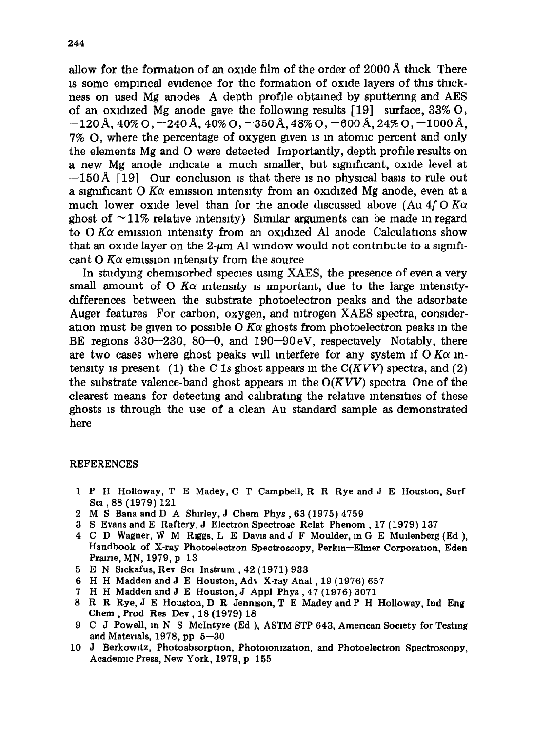allow for the formation of an oxide film of the order of  $2000 \text{ Å}$  thick There IS some emplncal evidence for the formation of oxide layers of this thlckness on used Mg anodes A depth profile obtamed by sputtering and AES of an oxidized Mg anode gave the following results  $[19]$  surface, 33% O,  $-120$  Å, 40% O,  $-240$  Å, 40% O,  $-350$  Å, 48% O,  $-600$  Å, 24% O,  $-1000$  Å, 7% O, where the percentage of oxygen given is in atomic percent and only the elements Mg and 0 were detected Importantly, depth profile results on a new Mg anode indicate a much smaller, but significant, oxide level at  $-150 \text{\AA}$  [19] Our conclusion is that there is no physical basis to rule out a significant O K $\alpha$  emission intensity from an oxidized Mg anode, even at a much lower oxide level than for the anode discussed above (Au  $4f$  O K $\alpha$ ) ghost of  $\sim$ 11% relative intensity) Similar arguments can be made in regard to  $\alpha$  K $\alpha$  emission intensity from an oxidized Al anode Calculations show that an oxide layer on the 2- $\mu$ m Al window would not contribute to a significant  $O$  K $\alpha$  emission intensity from the source

In studying chemlsorbed species usmg XAES, the presence of even a very small amount of O  $K\alpha$  intensity is important, due to the large intensitydifferences between the substrate photoelectron peaks and the adsorbate Auger features For carbon, oxygen, and nitrogen XAES spectra, conslderation must be given to possible O  $K\alpha$  ghosts from photoelectron peaks in the BE regions  $330-230$ ,  $80-0$ , and  $190-90$  eV, respectively Notably, there are two cases where ghost peaks will interfere for any system if  $\overline{O K \alpha}$  intensity is present (1) the C 1s ghost appears in the  $C(KVV)$  spectra, and (2) the substrate valence-band ghost appears m the *O(KVV)* spectra One of the clearest means for detecting and calibrating the relative intensities of these ghosts 1s through the use of a clean Au standard sample as demonstrated here

## **REFERENCES**

- **1 P H Holloway, T E Madey, C T Campbell, R R Rye and J E Houston, Surf SC1** ,88 **(1979) 121**
- **2 M S Bana and D A Shuley, J Chem Phys** ,63 **(1975) 4759**
- **3 S Evans and E Raftery, J Electron Spectrosc Relat Phenom** , **17 (1979) 137**
- **4 C D Wagner, W M Riggs, L E Davis and** J **F Moulder, m G E Mullenberg (Ed ), Handbook of X-ray Photoelectron Spectroscopy, Perkm-Elmer Corporation, Eden Pralrle, MN, 1979, p 13**
- **5 E N Slckafus, Rev Scl Instrum** ,42 **(1971) 933**
- **6 H H Madden and J E Houston, Adv X-ray Anal, 19 (1976) 657**
- **7 H H Madden and J E Houston, J Appl** Phys ,47 **(1976) 3071**
- **8 R R Rye, J E Houston, D R Jenmson, T E Madey and P H Holloway, Ind Eng**  Chem , **Prod Res Dev, 18 (1979) 18**
- **9 C J Powell, in N S McIntyre (Ed ), ASTM STP 643, American Society for Testmg and Materials,, 1978, pp 5-30**
- 10 J Berkowitz, Photoabsorption, Photoionization, and Photoelectron Spectroscopy, **Academic Press, New York, 1979, p 155**